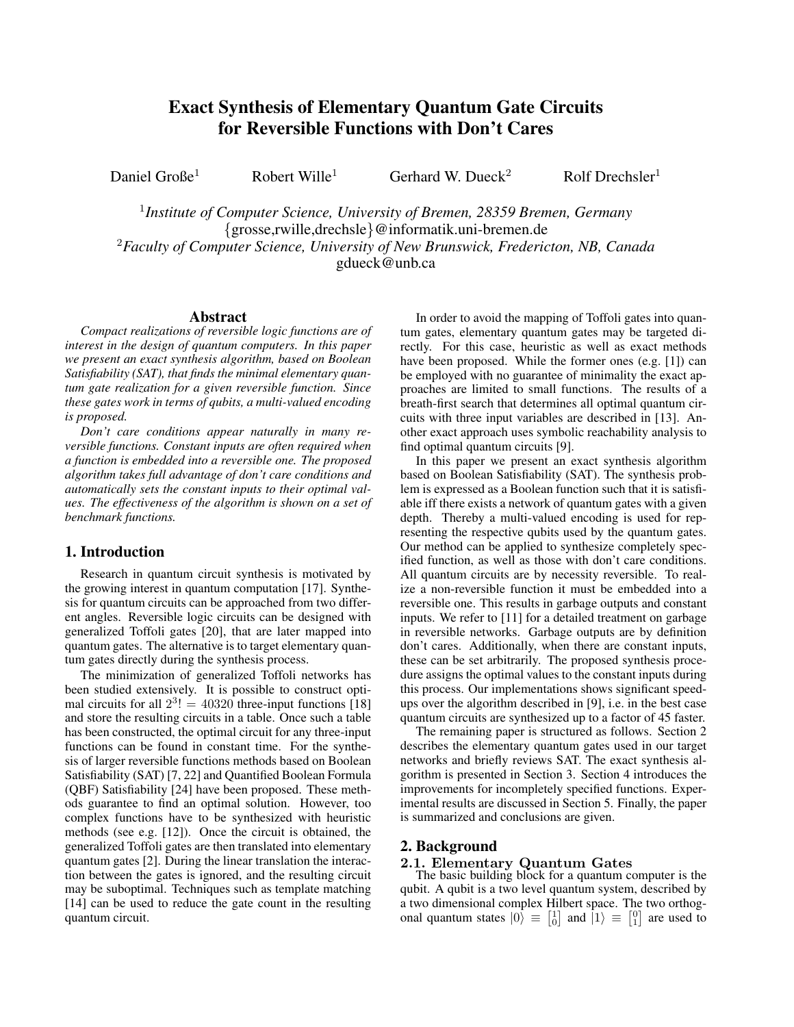# Exact Synthesis of Elementary Quantum Gate Circuits for Reversible Functions with Don't Cares

Daniel Große<sup>1</sup> Robert Wille<sup>1</sup> Gerhard W. Dueck<sup>2</sup> Rolf Drechsler<sup>1</sup>

1 *Institute of Computer Science, University of Bremen, 28359 Bremen, Germany* {grosse,rwille,drechsle}@informatik.uni-bremen.de <sup>2</sup>*Faculty of Computer Science, University of New Brunswick, Fredericton, NB, Canada* gdueck@unb.ca

## Abstract

*Compact realizations of reversible logic functions are of interest in the design of quantum computers. In this paper we present an exact synthesis algorithm, based on Boolean Satisfiability (SAT), that finds the minimal elementary quantum gate realization for a given reversible function. Since these gates work in terms of qubits, a multi-valued encoding is proposed.*

*Don't care conditions appear naturally in many reversible functions. Constant inputs are often required when a function is embedded into a reversible one. The proposed algorithm takes full advantage of don't care conditions and automatically sets the constant inputs to their optimal values. The effectiveness of the algorithm is shown on a set of benchmark functions.*

## 1. Introduction

Research in quantum circuit synthesis is motivated by the growing interest in quantum computation [17]. Synthesis for quantum circuits can be approached from two different angles. Reversible logic circuits can be designed with generalized Toffoli gates [20], that are later mapped into quantum gates. The alternative is to target elementary quantum gates directly during the synthesis process.

The minimization of generalized Toffoli networks has been studied extensively. It is possible to construct optimal circuits for all  $2^3$ ! = 40320 three-input functions [18] and store the resulting circuits in a table. Once such a table has been constructed, the optimal circuit for any three-input functions can be found in constant time. For the synthesis of larger reversible functions methods based on Boolean Satisfiability (SAT) [7, 22] and Quantified Boolean Formula (QBF) Satisfiability [24] have been proposed. These methods guarantee to find an optimal solution. However, too complex functions have to be synthesized with heuristic methods (see e.g. [12]). Once the circuit is obtained, the generalized Toffoli gates are then translated into elementary quantum gates [2]. During the linear translation the interaction between the gates is ignored, and the resulting circuit may be suboptimal. Techniques such as template matching [14] can be used to reduce the gate count in the resulting quantum circuit.

In order to avoid the mapping of Toffoli gates into quantum gates, elementary quantum gates may be targeted directly. For this case, heuristic as well as exact methods have been proposed. While the former ones (e.g. [1]) can be employed with no guarantee of minimality the exact approaches are limited to small functions. The results of a breath-first search that determines all optimal quantum circuits with three input variables are described in [13]. Another exact approach uses symbolic reachability analysis to find optimal quantum circuits [9].

In this paper we present an exact synthesis algorithm based on Boolean Satisfiability (SAT). The synthesis problem is expressed as a Boolean function such that it is satisfiable iff there exists a network of quantum gates with a given depth. Thereby a multi-valued encoding is used for representing the respective qubits used by the quantum gates. Our method can be applied to synthesize completely specified function, as well as those with don't care conditions. All quantum circuits are by necessity reversible. To realize a non-reversible function it must be embedded into a reversible one. This results in garbage outputs and constant inputs. We refer to [11] for a detailed treatment on garbage in reversible networks. Garbage outputs are by definition don't cares. Additionally, when there are constant inputs, these can be set arbitrarily. The proposed synthesis procedure assigns the optimal values to the constant inputs during this process. Our implementations shows significant speedups over the algorithm described in [9], i.e. in the best case quantum circuits are synthesized up to a factor of 45 faster.

The remaining paper is structured as follows. Section 2 describes the elementary quantum gates used in our target networks and briefly reviews SAT. The exact synthesis algorithm is presented in Section 3. Section 4 introduces the improvements for incompletely specified functions. Experimental results are discussed in Section 5. Finally, the paper is summarized and conclusions are given.

### 2. Background

## 2.1. Elementary Quantum Gates

The basic building block for a quantum computer is the qubit. A qubit is a two level quantum system, described by a two dimensional complex Hilbert space. The two orthogonal quantum states  $|0\rangle \equiv \begin{bmatrix} 1 \\ 0 \end{bmatrix}$  and  $|1\rangle \equiv \begin{bmatrix} 0 \\ 1 \end{bmatrix}$  are used to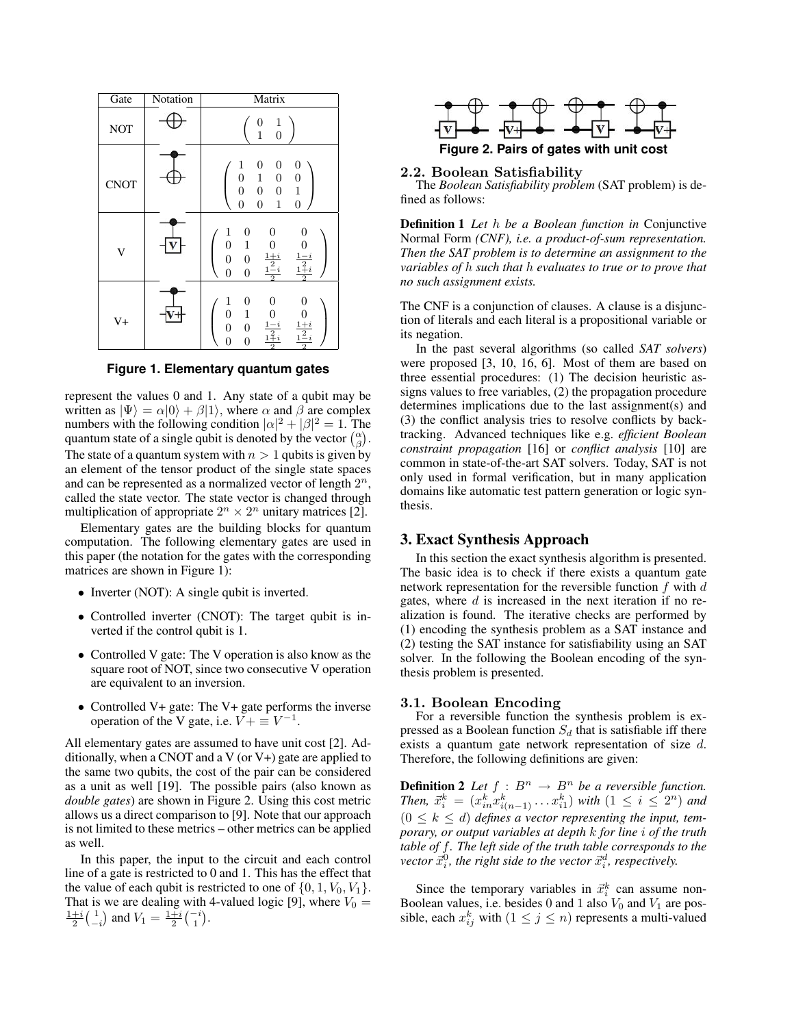| Gate        | Notation | Matrix                                                                                                                                                                                                                                                         |
|-------------|----------|----------------------------------------------------------------------------------------------------------------------------------------------------------------------------------------------------------------------------------------------------------------|
| <b>NOT</b>  |          | $\mathbf{1}$<br>$\begin{smallmatrix}0\1 \end{smallmatrix}$<br>$\overline{0}$                                                                                                                                                                                   |
| <b>CNOT</b> |          | $\boldsymbol{0}$<br>$\begin{smallmatrix}1\0\0\0\end{smallmatrix}$<br>$\boldsymbol{0}$<br>0<br>$\mathbf{1}$<br>$\boldsymbol{0}$<br>$\boldsymbol{0}$<br>$\mathbf{1}$<br>$\boldsymbol{0}$<br>$\boldsymbol{0}$<br>$\overline{0}$<br>$\mathbf{1}$<br>$\overline{0}$ |
| V           |          | $\begin{matrix}1\0\end{matrix}$<br>0<br>0<br>0<br>1<br>$\begin{array}{c} 0 \\ \frac{1-i}{2} \\ \frac{1+i}{2} \end{array}$<br>$\boldsymbol{0}$<br>$\frac{1+i}{1-i}$<br>$\begin{matrix} 0 \\ 0 \end{matrix}$<br>$\boldsymbol{0}$<br>$\overline{0}$               |
| $V +$       |          | $\boldsymbol{0}$<br>$\begin{matrix} 1 \ 0 \end{matrix}$<br>0<br>0<br>$\,1$<br>$\frac{0}{\frac{1-i}{2}}$<br>$\begin{array}{c}\n0 \\ \frac{1+i}{2} \\ \frac{1-i}{2}\n\end{array}$<br>$\boldsymbol{0}$<br>$\boldsymbol{0}$<br>$\overline{0}$<br>$\boldsymbol{0}$  |

**Figure 1. Elementary quantum gates**

represent the values 0 and 1. Any state of a qubit may be written as  $|\Psi\rangle = \alpha|0\rangle + \beta|1\rangle$ , where  $\alpha$  and  $\beta$  are complex numbers with the following condition  $|\alpha|^2 + |\beta|^2 = 1$ . The quantum state of a single qubit is denoted by the vector  $\binom{\alpha}{\beta}$ . The state of a quantum system with  $n > 1$  qubits is given by an element of the tensor product of the single state spaces and can be represented as a normalized vector of length  $2^n$ , called the state vector. The state vector is changed through multiplication of appropriate  $2^n \times 2^n$  unitary matrices [2].

Elementary gates are the building blocks for quantum computation. The following elementary gates are used in this paper (the notation for the gates with the corresponding matrices are shown in Figure 1):

- Inverter (NOT): A single qubit is inverted.
- Controlled inverter (CNOT): The target qubit is inverted if the control qubit is 1.
- Controlled V gate: The V operation is also know as the square root of NOT, since two consecutive V operation are equivalent to an inversion.
- Controlled V+ gate: The V+ gate performs the inverse operation of the V gate, i.e.  $\overline{V} + \equiv V^{-1}$ .

All elementary gates are assumed to have unit cost [2]. Additionally, when a CNOT and a V (or V+) gate are applied to the same two qubits, the cost of the pair can be considered as a unit as well [19]. The possible pairs (also known as *double gates*) are shown in Figure 2. Using this cost metric allows us a direct comparison to [9]. Note that our approach is not limited to these metrics – other metrics can be applied as well.

In this paper, the input to the circuit and each control line of a gate is restricted to 0 and 1. This has the effect that the value of each qubit is restricted to one of  $\{0, 1, V_0, V_1\}$ . That is we are dealing with 4-valued logic [9], where  $V_0 = \frac{1+i}{2} \begin{pmatrix} 1 \\ -i \end{pmatrix}$  and  $V_1 = \frac{1+i}{2} \begin{pmatrix} -i \\ 1 \end{pmatrix}$ .



**Figure 2. Pairs of gates with unit cost**

#### 2.2. Boolean Satisfiability

The *Boolean Satisfiability problem* (SAT problem) is defined as follows:

Definition 1 *Let* h *be a Boolean function in* Conjunctive Normal Form *(CNF), i.e. a product-of-sum representation. Then the SAT problem is to determine an assignment to the variables of* h *such that* h *evaluates to true or to prove that no such assignment exists.*

The CNF is a conjunction of clauses. A clause is a disjunction of literals and each literal is a propositional variable or its negation.

In the past several algorithms (so called *SAT solvers*) were proposed [3, 10, 16, 6]. Most of them are based on three essential procedures: (1) The decision heuristic assigns values to free variables, (2) the propagation procedure determines implications due to the last assignment(s) and (3) the conflict analysis tries to resolve conflicts by backtracking. Advanced techniques like e.g. *efficient Boolean constraint propagation* [16] or *conflict analysis* [10] are common in state-of-the-art SAT solvers. Today, SAT is not only used in formal verification, but in many application domains like automatic test pattern generation or logic synthesis.

#### 3. Exact Synthesis Approach

In this section the exact synthesis algorithm is presented. The basic idea is to check if there exists a quantum gate network representation for the reversible function  $f$  with  $d$ gates, where  $d$  is increased in the next iteration if no realization is found. The iterative checks are performed by (1) encoding the synthesis problem as a SAT instance and (2) testing the SAT instance for satisfiability using an SAT solver. In the following the Boolean encoding of the synthesis problem is presented.

#### 3.1. Boolean Encoding

For a reversible function the synthesis problem is expressed as a Boolean function  $S_d$  that is satisfiable iff there exists a quantum gate network representation of size d. Therefore, the following definitions are given:

**Definition 2** Let  $f : B^n \to B^n$  be a reversible function. *Then,*  $\vec{x}_i^k = (x_{in}^k x_{i(n-1)}^k \dots x_{i1}^k)$  *with*  $(1 \leq i \leq 2^n)$  *and*  $(0 \leq k \leq d)$  defines a vector representing the input, tem*porary, or output variables at depth* k *for line* i *of the truth table of* f*. The left side of the truth table corresponds to the*  $\vec{x}_i^0$ , the right side to the vector  $\vec{x}_i^d$ , respectively.

Since the temporary variables in  $\vec{x}_i^k$  can assume non-Boolean values, i.e. besides 0 and 1 also  $V_0$  and  $V_1$  are possible, each  $x_{ij}^k$  with  $(1 \le j \le n)$  represents a multi-valued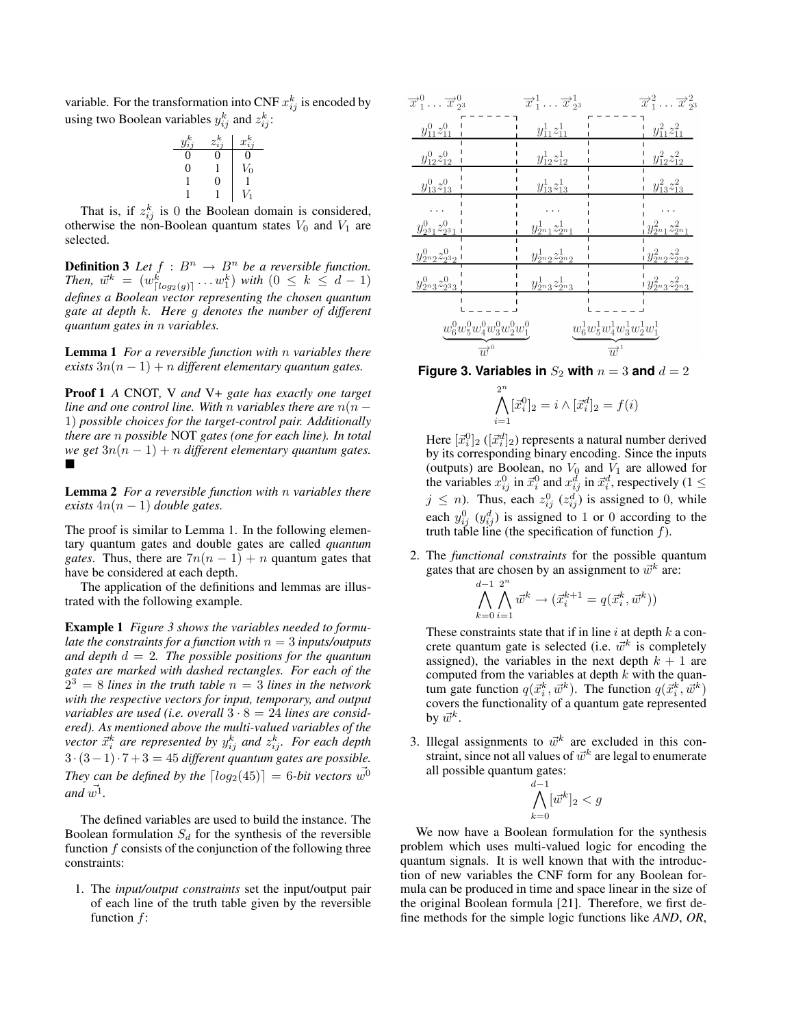variable. For the transformation into CNF  $x_{ij}^k$  is encoded by using two Boolean variables  $y_{ij}^k$  and  $z_{ij}^k$ :

| $y_{ij}^k$ | $z_{i,i}^k$ | $x_{i}^{k}$         |
|------------|-------------|---------------------|
| 0          |             | 0                   |
| 0          |             | $\scriptstyle{V_0}$ |
|            | 0           |                     |
|            |             | V                   |

That is, if  $z_{ij}^k$  is 0 the Boolean domain is considered, otherwise the non-Boolean quantum states  $V_0$  and  $V_1$  are selected.

**Definition 3** Let  $f : B^n \to B^n$  be a reversible function. *Then,*  $\vec{w}^k = (w_{\lceil log_2(g) \rceil}^k ... w_1^k)$  *with*  $(0 \leq k \leq d-1)$ *defines a Boolean vector representing the chosen quantum gate at depth* k*. Here* g *denotes the number of different quantum gates in* n *variables.*

Lemma 1 *For a reversible function with* n *variables there exists*  $3n(n - 1) + n$  *different elementary quantum gates.* 

Proof 1 *A* CNOT*,* V *and* V+ *gate has exactly one target line and one control line. With* n *variables there are*  $n(n - 1)$ 1) *possible choices for the target-control pair. Additionally there are* n *possible* NOT *gates (one for each line). In total we get*  $3n(n - 1) + n$  *different elementary quantum gates.*  $\blacksquare$ 

Lemma 2 *For a reversible function with* n *variables there exists*  $4n(n - 1)$  *double gates.* 

The proof is similar to Lemma 1. In the following elementary quantum gates and double gates are called *quantum gates*. Thus, there are  $7n(n - 1) + n$  quantum gates that have be considered at each depth.

The application of the definitions and lemmas are illustrated with the following example.

Example 1 *Figure 3 shows the variables needed to formulate the constraints for a function with*  $n = 3$  *inputs/outputs and depth* d = 2*. The possible positions for the quantum gates are marked with dashed rectangles. For each of the*  $2^3 = 8$  *lines in the truth table*  $n = 3$  *lines in the network with the respective vectors for input, temporary, and output variables are used (i.e. overall*  $3 \cdot 8 = 24$  *lines are considered). As mentioned above the multi-valued variables of the*  $\vec{x}_i^k$  are represented by  $y_{ij}^k$  and  $z_{ij}^k$ . For each depth 3 ·(3−1)· 7 + 3 = 45 *different quantum gates are possible. They can be defined by the*  $\lceil log_2(45) \rceil = 6$ *-bit vectors*  $w^0$  $and \vec{w^1}.$ 

The defined variables are used to build the instance. The Boolean formulation  $S_d$  for the synthesis of the reversible function  $f$  consists of the conjunction of the following three constraints:

1. The *input/output constraints* set the input/output pair of each line of the truth table given by the reversible function f:

| $\overrightarrow{x}_1^0 \ldots \overrightarrow{x}_2^0$ |                                  | $\overrightarrow{x}_1^1 \ldots \overrightarrow{x}_2^1$ |                                  | $\overrightarrow{x}_1^2 \ldots \overrightarrow{x}_2^2$ |
|--------------------------------------------------------|----------------------------------|--------------------------------------------------------|----------------------------------|--------------------------------------------------------|
| $y_{11}^0 z_{11}^0$                                    |                                  | $y_{11}^1 z_{11}^1$                                    |                                  | $y_{11}^2 z_{11}^2$                                    |
| $y_{12}^0 z_{12}^0$                                    |                                  | $y_{12}^1 z_{12}^1$                                    |                                  | $y_{12}^2 z_{12}^2$                                    |
| $y_{13}^0 z_{13}^0$                                    |                                  | $y_{13}^1z_{13}^1$                                     |                                  | $y_{13}^2 z_{13}^2$                                    |
|                                                        |                                  |                                                        |                                  |                                                        |
| $y_{2^3}^0 z_{2^3 1}^0$                                |                                  | $y_{2n_1}^1z_{2n_1}^1$                                 |                                  | $y_{2n_1}^2z_{2n_1}^2$                                 |
| $y_{2n_2}^0z_{2^32}^0$ i                               |                                  | $y_{2n_2}^1z_{2n_2}^1$                                 |                                  | $y_{2n_2}^2z_{2n_2}^2$                                 |
| $y_{2n3}^0 z_{233}^0$                                  |                                  | $y_{2n_3}^1z_{2n_3}^1$                                 |                                  | $y_{2n_3}^2z_{2n_3}^2$                                 |
|                                                        |                                  |                                                        |                                  |                                                        |
|                                                        | $w_6^0w_5^0w_4^0w_3^0w_2^0w_1^0$ |                                                        | $w_6^1w_5^1w_4^1w_3^1w_2^1w_1^1$ |                                                        |
|                                                        | $\overrightarrow{w}^{\circ}$     |                                                        | $\overrightarrow{w}^1$           |                                                        |

**Figure 3. Variables in**  $S_2$  with  $n = 3$  and  $d = 2$ 

$$
\bigwedge_{i=1}^{2^n} [\vec{x}_i^0]_2 = i \wedge [\vec{x}_i^d]_2 = f(i)
$$

Here  $[\vec{x}_i^0]_2$  ( $[\vec{x}_i^d]_2$ ) represents a natural number derived by its corresponding binary encoding. Since the inputs (outputs) are Boolean, no  $V_0$  and  $V_1$  are allowed for the variables  $x_{ij}^0$  in  $\vec{x}_i^0$  and  $x_{ij}^d$  in  $\vec{x}_i^d$ , respectively (1  $\leq$  $j \leq n$ ). Thus, each  $z_{ij}^0$  ( $z_{ij}^d$ ) is assigned to 0, while each  $y_{ij}^0$   $(y_{ij}^d)$  is assigned to 1 or 0 according to the truth table line (the specification of function  $f$ ).

2. The *functional constraints* for the possible quantum gates that are chosen by an assignment to  $\vec{w}^k$  are:

$$
\bigwedge_{k=0}^{d-1} \bigwedge_{i=1}^{2^n} \vec{w}^k \to (\vec{x}_i^{k+1} = q(\vec{x}_i^k, \vec{w}^k))
$$

These constraints state that if in line  $i$  at depth  $k$  a concrete quantum gate is selected (i.e.  $\vec{w}^k$  is completely assigned), the variables in the next depth  $k + 1$  are computed from the variables at depth  $k$  with the quantum gate function  $q(\vec{x}_i^k, \vec{w}^k)$ . The function  $q(\vec{x}_i^k, \vec{w}^k)$ covers the functionality of a quantum gate represented by  $\vec{w}^k$ .

3. Illegal assignments to  $\vec{w}^k$  are excluded in this constraint, since not all values of  $\vec{w}^k$  are legal to enumerate all possible quantum gates:

$$
\bigwedge_{k=0}^{d-1} [\vec{w}^k]_2 < g
$$

We now have a Boolean formulation for the synthesis problem which uses multi-valued logic for encoding the quantum signals. It is well known that with the introduction of new variables the CNF form for any Boolean formula can be produced in time and space linear in the size of the original Boolean formula [21]. Therefore, we first define methods for the simple logic functions like *AND*, *OR*,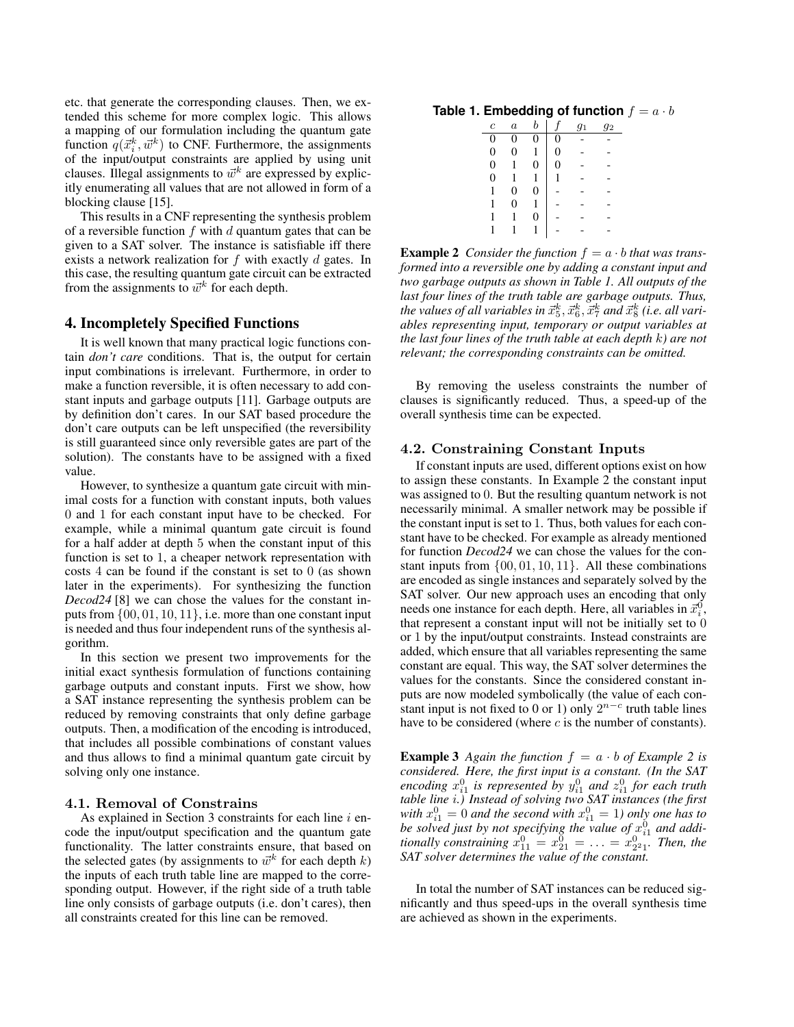etc. that generate the corresponding clauses. Then, we extended this scheme for more complex logic. This allows a mapping of our formulation including the quantum gate function  $q(\vec{x}_i^k, \vec{w}^k)$  to CNF. Furthermore, the assignments of the input/output constraints are applied by using unit clauses. Illegal assignments to  $\vec{w}^k$  are expressed by explicitly enumerating all values that are not allowed in form of a blocking clause [15].

This results in a CNF representing the synthesis problem of a reversible function  $f$  with  $d$  quantum gates that can be given to a SAT solver. The instance is satisfiable iff there exists a network realization for f with exactly d gates. In this case, the resulting quantum gate circuit can be extracted from the assignments to  $\vec{w}^k$  for each depth.

## 4. Incompletely Specified Functions

It is well known that many practical logic functions contain *don't care* conditions. That is, the output for certain input combinations is irrelevant. Furthermore, in order to make a function reversible, it is often necessary to add constant inputs and garbage outputs [11]. Garbage outputs are by definition don't cares. In our SAT based procedure the don't care outputs can be left unspecified (the reversibility is still guaranteed since only reversible gates are part of the solution). The constants have to be assigned with a fixed value.

However, to synthesize a quantum gate circuit with minimal costs for a function with constant inputs, both values 0 and 1 for each constant input have to be checked. For example, while a minimal quantum gate circuit is found for a half adder at depth 5 when the constant input of this function is set to 1, a cheaper network representation with costs 4 can be found if the constant is set to 0 (as shown later in the experiments). For synthesizing the function *Decod24* [8] we can chose the values for the constant inputs from  $\{00, 01, 10, 11\}$ , i.e. more than one constant input is needed and thus four independent runs of the synthesis algorithm.

In this section we present two improvements for the initial exact synthesis formulation of functions containing garbage outputs and constant inputs. First we show, how a SAT instance representing the synthesis problem can be reduced by removing constraints that only define garbage outputs. Then, a modification of the encoding is introduced, that includes all possible combinations of constant values and thus allows to find a minimal quantum gate circuit by solving only one instance.

#### 4.1. Removal of Constrains

As explained in Section 3 constraints for each line  $i$  encode the input/output specification and the quantum gate functionality. The latter constraints ensure, that based on the selected gates (by assignments to  $\vec{w}^k$  for each depth k) the inputs of each truth table line are mapped to the corresponding output. However, if the right side of a truth table line only consists of garbage outputs (i.e. don't cares), then all constraints created for this line can be removed.

#### **Table 1. Embedding of function**  $f = a \cdot b$

| $\overline{c}$ | $\boldsymbol{a}$ | h                |   | $g_1$ | 92 |
|----------------|------------------|------------------|---|-------|----|
| 0              | 0                | 0                | 0 |       |    |
| 0              | 0                | 1                | 0 |       |    |
| 0              |                  | $\boldsymbol{0}$ | 0 |       |    |
| 0              |                  | 1                | 1 |       |    |
| 1              | 0                | 0                |   |       |    |
| 1              | 0                |                  |   |       |    |
| 1              |                  | 0                |   |       |    |
|                |                  |                  |   |       |    |
|                |                  |                  |   |       |    |

**Example 2** Consider the function  $f = a \cdot b$  that was trans*formed into a reversible one by adding a constant input and two garbage outputs as shown in Table 1. All outputs of the last four lines of the truth table are garbage outputs. Thus,* the values of all variables in  $\vec{x}_5^k, \vec{x}_6^k, \vec{x}_7^k$  and  $\vec{x}_8^k$  (i.e. all vari*ables representing input, temporary or output variables at the last four lines of the truth table at each depth* k*) are not relevant; the corresponding constraints can be omitted.*

By removing the useless constraints the number of clauses is significantly reduced. Thus, a speed-up of the overall synthesis time can be expected.

#### 4.2. Constraining Constant Inputs

If constant inputs are used, different options exist on how to assign these constants. In Example 2 the constant input was assigned to 0. But the resulting quantum network is not necessarily minimal. A smaller network may be possible if the constant input is set to 1. Thus, both values for each constant have to be checked. For example as already mentioned for function *Decod24* we can chose the values for the constant inputs from  $\{00, 01, 10, 11\}$ . All these combinations are encoded as single instances and separately solved by the SAT solver. Our new approach uses an encoding that only needs one instance for each depth. Here, all variables in  $\vec{x}_i^0$ , that represent a constant input will not be initially set to 0 or 1 by the input/output constraints. Instead constraints are added, which ensure that all variables representing the same constant are equal. This way, the SAT solver determines the values for the constants. Since the considered constant inputs are now modeled symbolically (the value of each constant input is not fixed to 0 or 1) only  $2^{n-c}$  truth table lines have to be considered (where  $c$  is the number of constants).

**Example 3** Again the function  $f = a \cdot b$  of Example 2 is *considered. Here, the first input is a constant. (In the SAT* encoding  $x_{i1}^0$  is represented by  $y_{i1}^0$  and  $z_{i1}^0$  for each truth *table line* i*.) Instead of solving two SAT instances (the first* with  $x_{i1}^0 = 0$  and the second with  $x_{i1}^0 = 1$ ) only one has to be solved just by not specifying the value of  $x_{i1}^0$  and addi*tionally constraining*  $x_{11}^0 = x_{21}^0 = \ldots = x_{22}^0$ . *Then, the SAT solver determines the value of the constant.*

In total the number of SAT instances can be reduced significantly and thus speed-ups in the overall synthesis time are achieved as shown in the experiments.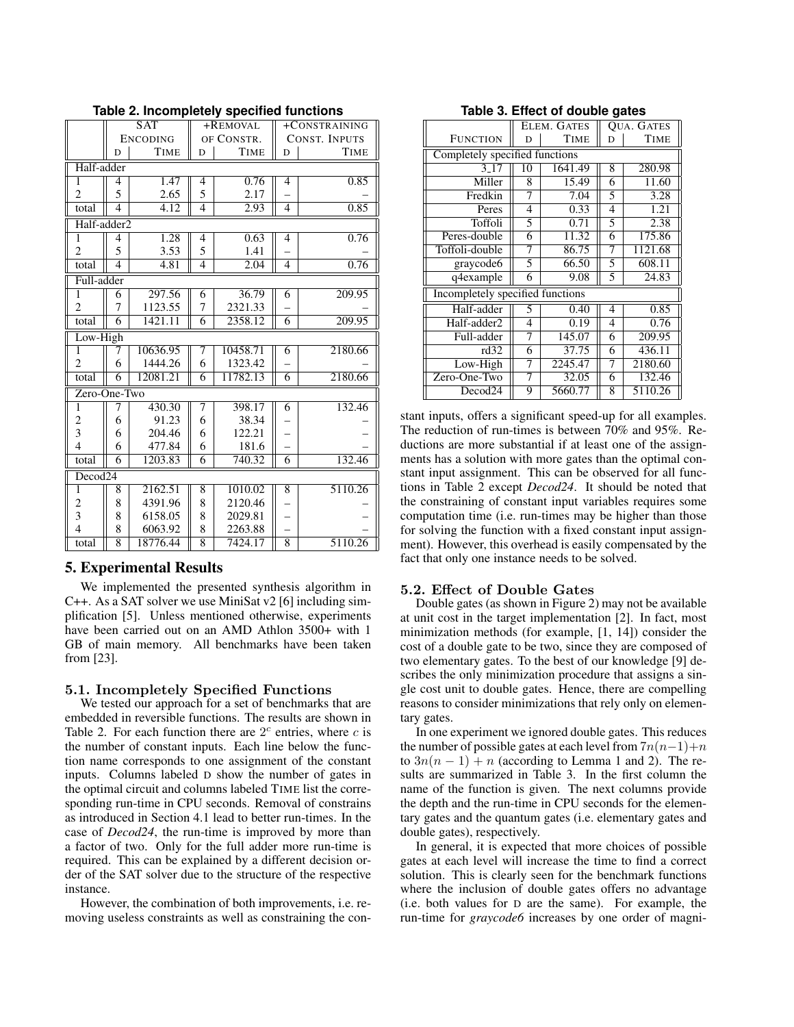| $\overline{\text{SAT}}$<br>+REMOVAL<br>+CONSTRAINING |                |                 |                |              |                |                      |  |
|------------------------------------------------------|----------------|-----------------|----------------|--------------|----------------|----------------------|--|
|                                                      |                | <b>ENCODING</b> | OF CONSTR.     |              |                | <b>CONST. INPUTS</b> |  |
|                                                      | D              | <b>TIME</b>     | D              | <b>TIME</b>  | D              | <b>TIME</b>          |  |
| Half-adder                                           |                |                 |                |              |                |                      |  |
| 1                                                    | 4              | 1.47            | 4              | 0.76         | 4              | 0.85                 |  |
| $\overline{2}$                                       | 5              | 2.65            | 5              | 2.17         |                |                      |  |
| total                                                | $\overline{4}$ | 4.12            | 4              | 2.93         | $\overline{4}$ | 0.85                 |  |
| Half-adder <sub>2</sub>                              |                |                 |                |              |                |                      |  |
| 1                                                    |                | 1.28            |                | 0.63         | 4              | 0.76                 |  |
| $\overline{2}$                                       | 4<br>5         | 3.53            | 4<br>5         |              |                |                      |  |
|                                                      | $\overline{4}$ | 4.81            | $\overline{4}$ | 1.41<br>2.04 | $\overline{4}$ | 0.76                 |  |
| total                                                |                |                 |                |              |                |                      |  |
| Full-adder                                           |                |                 |                |              |                |                      |  |
| $\overline{1}$                                       | 6              | 297.56          | 6              | 36.79        | 6              | 209.95               |  |
| $\overline{2}$                                       | 7              | 1123.55         | 7              | 2321.33      |                |                      |  |
| total                                                | $\overline{6}$ | 1421.11         | $\overline{6}$ | 2358.12      | 6              | 209.95               |  |
| Low-High                                             |                |                 |                |              |                |                      |  |
| 1                                                    | 7              | 10636.95        | 7              | 10458.71     | 6              | 2180.66              |  |
| $\overline{2}$                                       | 6              | 1444.26         | 6              | 1323.42      |                |                      |  |
| total                                                | 6              | 12081.21        | 6              | 11782.13     | 6              | 2180.66              |  |
| Zero-One-Two                                         |                |                 |                |              |                |                      |  |
| 1                                                    | 7              | 430.30          | 7              | 398.17       | 6              | 132.46               |  |
| $\overline{c}$                                       | 6              | 91.23           | 6              | 38.34        |                |                      |  |
| 3                                                    | 6              | 204.46          | 6              | 122.21       |                |                      |  |
| $\overline{\mathcal{L}}$                             | 6              | 477.84          | 6              | 181.6        |                |                      |  |
| total                                                | 6              | 1203.83         | 6              | 740.32       | 6              | 132.46               |  |
| Decod <sub>24</sub>                                  |                |                 |                |              |                |                      |  |
| 1                                                    | 8              | 2162.51         | 8              | 1010.02      | 8              | 5110.26              |  |
| 2                                                    | 8              | 4391.96         | 8              | 2120.46      |                |                      |  |
| 3                                                    | 8              | 6158.05         | 8              | 2029.81      |                |                      |  |
| $\overline{4}$                                       | 8              | 6063.92         | 8              | 2263.88      |                |                      |  |
| total                                                | $\overline{8}$ | 18776.44        | $\overline{8}$ | 7424.17      | $\overline{8}$ | 5110.26              |  |

**Table 2. Incompletely specified functions**

#### 5. Experimental Results

We implemented the presented synthesis algorithm in C++. As a SAT solver we use MiniSat v2 [6] including simplification [5]. Unless mentioned otherwise, experiments have been carried out on an AMD Athlon 3500+ with 1 GB of main memory. All benchmarks have been taken from [23].

#### 5.1. Incompletely Specified Functions

We tested our approach for a set of benchmarks that are embedded in reversible functions. The results are shown in Table 2. For each function there are  $2<sup>c</sup>$  entries, where c is the number of constant inputs. Each line below the function name corresponds to one assignment of the constant inputs. Columns labeled D show the number of gates in the optimal circuit and columns labeled TIME list the corresponding run-time in CPU seconds. Removal of constrains as introduced in Section 4.1 lead to better run-times. In the case of *Decod24*, the run-time is improved by more than a factor of two. Only for the full adder more run-time is required. This can be explained by a different decision order of the SAT solver due to the structure of the respective instance.

However, the combination of both improvements, i.e. removing useless constraints as well as constraining the con-

|                                |                                  | ELEM. GATES | <b>OUA. GATES</b> |             |  |  |
|--------------------------------|----------------------------------|-------------|-------------------|-------------|--|--|
| <b>FUNCTION</b>                | D                                | <b>TIME</b> | D                 | <b>TIME</b> |  |  |
| Completely specified functions |                                  |             |                   |             |  |  |
| 3.17                           | 10                               | 1641.49     | 8                 | 280.98      |  |  |
| Miller                         | 8                                | 15.49       | 6                 | 11.60       |  |  |
| Fredkin                        | 7                                | 7.04        | 5                 | 3.28        |  |  |
| Peres                          | 4                                | 0.33        | 4                 | 1.21        |  |  |
| Toffoli                        | 5                                | 0.71        | 5                 | 2.38        |  |  |
| Peres-double                   | 6                                | 11.32       | 6                 | 175.86      |  |  |
| Toffoli-double                 | 7                                | 86.75       | 7                 | 1121.68     |  |  |
| graycode6                      | 5                                | 66.50       | 5                 | 608.11      |  |  |
| q4example                      | 6                                | 9.08        | 5                 | 24.83       |  |  |
|                                | Incompletely specified functions |             |                   |             |  |  |
| Half-adder                     | 5                                | 0.40        | 4                 | 0.85        |  |  |
| Half-adder2                    | 4                                | 0.19        | 4                 | 0.76        |  |  |
| Full-adder                     | 7                                | 145.07      | 6                 | 209.95      |  |  |
| rd32                           | 6                                | 37.75       | 6                 | 436.11      |  |  |
| Low-High                       | 7                                | 2245.47     | 7                 | 2180.60     |  |  |
| Zero-One-Two                   | 7                                | 32.05       | 6                 | 132.46      |  |  |
| Decod24                        | 9                                | 5660.77     | 8                 | 5110.26     |  |  |

**Table 3. Effect of double gates**

stant inputs, offers a significant speed-up for all examples. The reduction of run-times is between 70% and 95%. Reductions are more substantial if at least one of the assignments has a solution with more gates than the optimal constant input assignment. This can be observed for all functions in Table 2 except *Decod24*. It should be noted that the constraining of constant input variables requires some computation time (i.e. run-times may be higher than those for solving the function with a fixed constant input assignment). However, this overhead is easily compensated by the fact that only one instance needs to be solved.

#### 5.2. Effect of Double Gates

Double gates (as shown in Figure 2) may not be available at unit cost in the target implementation [2]. In fact, most minimization methods (for example, [1, 14]) consider the cost of a double gate to be two, since they are composed of two elementary gates. To the best of our knowledge [9] describes the only minimization procedure that assigns a single cost unit to double gates. Hence, there are compelling reasons to consider minimizations that rely only on elementary gates.

In one experiment we ignored double gates. This reduces the number of possible gates at each level from  $7n(n-1)+n$ to  $3n(n - 1) + n$  (according to Lemma 1 and 2). The results are summarized in Table 3. In the first column the name of the function is given. The next columns provide the depth and the run-time in CPU seconds for the elementary gates and the quantum gates (i.e. elementary gates and double gates), respectively.

In general, it is expected that more choices of possible gates at each level will increase the time to find a correct solution. This is clearly seen for the benchmark functions where the inclusion of double gates offers no advantage (i.e. both values for D are the same). For example, the run-time for *graycode6* increases by one order of magni-